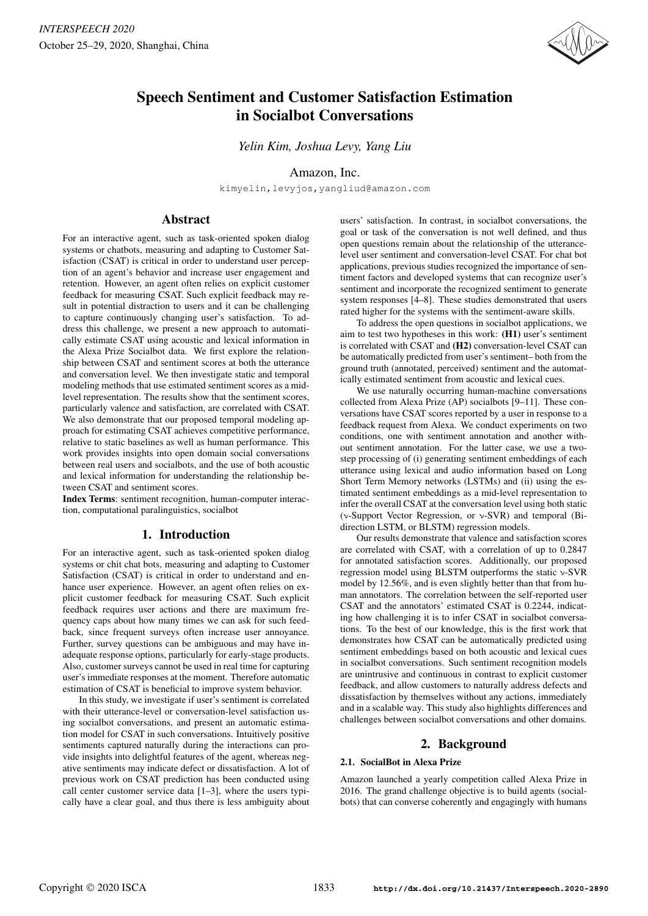

# Speech Sentiment and Customer Satisfaction Estimation in Socialbot Conversations

*Yelin Kim, Joshua Levy, Yang Liu*

# Amazon, Inc.

kimyelin,levyjos,yangliud@amazon.com

# Abstract

For an interactive agent, such as task-oriented spoken dialog systems or chatbots, measuring and adapting to Customer Satisfaction (CSAT) is critical in order to understand user perception of an agent's behavior and increase user engagement and retention. However, an agent often relies on explicit customer feedback for measuring CSAT. Such explicit feedback may result in potential distraction to users and it can be challenging to capture continuously changing user's satisfaction. To address this challenge, we present a new approach to automatically estimate CSAT using acoustic and lexical information in the Alexa Prize Socialbot data. We first explore the relationship between CSAT and sentiment scores at both the utterance and conversation level. We then investigate static and temporal modeling methods that use estimated sentiment scores as a midlevel representation. The results show that the sentiment scores, particularly valence and satisfaction, are correlated with CSAT. We also demonstrate that our proposed temporal modeling approach for estimating CSAT achieves competitive performance, relative to static baselines as well as human performance. This work provides insights into open domain social conversations between real users and socialbots, and the use of both acoustic and lexical information for understanding the relationship between CSAT and sentiment scores.

Index Terms: sentiment recognition, human-computer interaction, computational paralinguistics, socialbot

# 1. Introduction

For an interactive agent, such as task-oriented spoken dialog systems or chit chat bots, measuring and adapting to Customer Satisfaction (CSAT) is critical in order to understand and enhance user experience. However, an agent often relies on explicit customer feedback for measuring CSAT. Such explicit feedback requires user actions and there are maximum frequency caps about how many times we can ask for such feedback, since frequent surveys often increase user annoyance. Further, survey questions can be ambiguous and may have inadequate response options, particularly for early-stage products. Also, customer surveys cannot be used in real time for capturing user's immediate responses at the moment. Therefore automatic estimation of CSAT is beneficial to improve system behavior.

In this study, we investigate if user's sentiment is correlated with their utterance-level or conversation-level satisfaction using socialbot conversations, and present an automatic estimation model for CSAT in such conversations. Intuitively positive sentiments captured naturally during the interactions can provide insights into delightful features of the agent, whereas negative sentiments may indicate defect or dissatisfaction. A lot of previous work on CSAT prediction has been conducted using call center customer service data [1–3], where the users typically have a clear goal, and thus there is less ambiguity about users' satisfaction. In contrast, in socialbot conversations, the goal or task of the conversation is not well defined, and thus open questions remain about the relationship of the utterancelevel user sentiment and conversation-level CSAT. For chat bot applications, previous studies recognized the importance of sentiment factors and developed systems that can recognize user's sentiment and incorporate the recognized sentiment to generate system responses [4–8]. These studies demonstrated that users rated higher for the systems with the sentiment-aware skills.

To address the open questions in socialbot applications, we aim to test two hypotheses in this work: (H1) user's sentiment is correlated with CSAT and (H2) conversation-level CSAT can be automatically predicted from user's sentiment– both from the ground truth (annotated, perceived) sentiment and the automatically estimated sentiment from acoustic and lexical cues.

We use naturally occurring human-machine conversations collected from Alexa Prize (AP) socialbots [9–11]. These conversations have CSAT scores reported by a user in response to a feedback request from Alexa. We conduct experiments on two conditions, one with sentiment annotation and another without sentiment annotation. For the latter case, we use a twostep processing of (i) generating sentiment embeddings of each utterance using lexical and audio information based on Long Short Term Memory networks (LSTMs) and (ii) using the estimated sentiment embeddings as a mid-level representation to infer the overall CSAT at the conversation level using both static (ν-Support Vector Regression, or ν-SVR) and temporal (Bidirection LSTM, or BLSTM) regression models.

Our results demonstrate that valence and satisfaction scores are correlated with CSAT, with a correlation of up to 0.2847 for annotated satisfaction scores. Additionally, our proposed regression model using BLSTM outperforms the static ν-SVR model by 12.56%, and is even slightly better than that from human annotators. The correlation between the self-reported user CSAT and the annotators' estimated CSAT is 0.2244, indicating how challenging it is to infer CSAT in socialbot conversations. To the best of our knowledge, this is the first work that demonstrates how CSAT can be automatically predicted using sentiment embeddings based on both acoustic and lexical cues in socialbot conversations. Such sentiment recognition models are unintrusive and continuous in contrast to explicit customer feedback, and allow customers to naturally address defects and dissatisfaction by themselves without any actions, immediately and in a scalable way. This study also highlights differences and challenges between socialbot conversations and other domains.

# 2. Background

### 2.1. SocialBot in Alexa Prize

Amazon launched a yearly competition called Alexa Prize in 2016. The grand challenge objective is to build agents (socialbots) that can converse coherently and engagingly with humans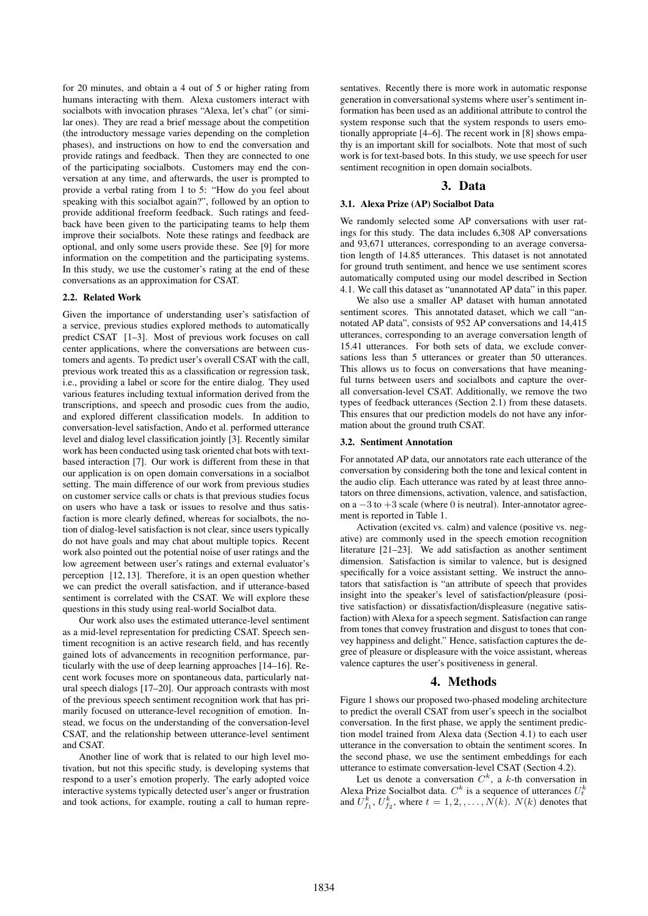for 20 minutes, and obtain a 4 out of 5 or higher rating from humans interacting with them. Alexa customers interact with socialbots with invocation phrases "Alexa, let's chat" (or similar ones). They are read a brief message about the competition (the introductory message varies depending on the completion phases), and instructions on how to end the conversation and provide ratings and feedback. Then they are connected to one of the participating socialbots. Customers may end the conversation at any time, and afterwards, the user is prompted to provide a verbal rating from 1 to 5: "How do you feel about speaking with this socialbot again?", followed by an option to provide additional freeform feedback. Such ratings and feedback have been given to the participating teams to help them improve their socialbots. Note these ratings and feedback are optional, and only some users provide these. See [9] for more information on the competition and the participating systems. In this study, we use the customer's rating at the end of these conversations as an approximation for CSAT.

#### 2.2. Related Work

Given the importance of understanding user's satisfaction of a service, previous studies explored methods to automatically predict CSAT [1–3]. Most of previous work focuses on call center applications, where the conversations are between customers and agents. To predict user's overall CSAT with the call, previous work treated this as a classification or regression task, i.e., providing a label or score for the entire dialog. They used various features including textual information derived from the transcriptions, and speech and prosodic cues from the audio, and explored different classification models. In addition to conversation-level satisfaction, Ando et al. performed utterance level and dialog level classification jointly [3]. Recently similar work has been conducted using task oriented chat bots with textbased interaction [7]. Our work is different from these in that our application is on open domain conversations in a socialbot setting. The main difference of our work from previous studies on customer service calls or chats is that previous studies focus on users who have a task or issues to resolve and thus satisfaction is more clearly defined, whereas for socialbots, the notion of dialog-level satisfaction is not clear, since users typically do not have goals and may chat about multiple topics. Recent work also pointed out the potential noise of user ratings and the low agreement between user's ratings and external evaluator's perception [12, 13]. Therefore, it is an open question whether we can predict the overall satisfaction, and if utterance-based sentiment is correlated with the CSAT. We will explore these questions in this study using real-world Socialbot data.

Our work also uses the estimated utterance-level sentiment as a mid-level representation for predicting CSAT. Speech sentiment recognition is an active research field, and has recently gained lots of advancements in recognition performance, particularly with the use of deep learning approaches [14–16]. Recent work focuses more on spontaneous data, particularly natural speech dialogs [17–20]. Our approach contrasts with most of the previous speech sentiment recognition work that has primarily focused on utterance-level recognition of emotion. Instead, we focus on the understanding of the conversation-level CSAT, and the relationship between utterance-level sentiment and CSAT.

Another line of work that is related to our high level motivation, but not this specific study, is developing systems that respond to a user's emotion properly. The early adopted voice interactive systems typically detected user's anger or frustration and took actions, for example, routing a call to human representatives. Recently there is more work in automatic response generation in conversational systems where user's sentiment information has been used as an additional attribute to control the system response such that the system responds to users emotionally appropriate [4–6]. The recent work in [8] shows empathy is an important skill for socialbots. Note that most of such work is for text-based bots. In this study, we use speech for user sentiment recognition in open domain socialbots.

## 3. Data

#### 3.1. Alexa Prize (AP) Socialbot Data

We randomly selected some AP conversations with user ratings for this study. The data includes 6,308 AP conversations and 93,671 utterances, corresponding to an average conversation length of 14.85 utterances. This dataset is not annotated for ground truth sentiment, and hence we use sentiment scores automatically computed using our model described in Section 4.1. We call this dataset as "unannotated AP data" in this paper.

We also use a smaller AP dataset with human annotated sentiment scores. This annotated dataset, which we call "annotated AP data", consists of 952 AP conversations and 14,415 utterances, corresponding to an average conversation length of 15.41 utterances. For both sets of data, we exclude conversations less than 5 utterances or greater than 50 utterances. This allows us to focus on conversations that have meaningful turns between users and socialbots and capture the overall conversation-level CSAT. Additionally, we remove the two types of feedback utterances (Section 2.1) from these datasets. This ensures that our prediction models do not have any information about the ground truth CSAT.

#### 3.2. Sentiment Annotation

For annotated AP data, our annotators rate each utterance of the conversation by considering both the tone and lexical content in the audio clip. Each utterance was rated by at least three annotators on three dimensions, activation, valence, and satisfaction, on a  $-3$  to  $+3$  scale (where 0 is neutral). Inter-annotator agreement is reported in Table 1.

Activation (excited vs. calm) and valence (positive vs. negative) are commonly used in the speech emotion recognition literature [21–23]. We add satisfaction as another sentiment dimension. Satisfaction is similar to valence, but is designed specifically for a voice assistant setting. We instruct the annotators that satisfaction is "an attribute of speech that provides insight into the speaker's level of satisfaction/pleasure (positive satisfaction) or dissatisfaction/displeasure (negative satisfaction) with Alexa for a speech segment. Satisfaction can range from tones that convey frustration and disgust to tones that convey happiness and delight." Hence, satisfaction captures the degree of pleasure or displeasure with the voice assistant, whereas valence captures the user's positiveness in general.

#### 4. Methods

Figure 1 shows our proposed two-phased modeling architecture to predict the overall CSAT from user's speech in the socialbot conversation. In the first phase, we apply the sentiment prediction model trained from Alexa data (Section 4.1) to each user utterance in the conversation to obtain the sentiment scores. In the second phase, we use the sentiment embeddings for each utterance to estimate conversation-level CSAT (Section 4.2).

Let us denote a conversation  $C^k$ , a k-th conversation in Alexa Prize Socialbot data.  $C^k$  is a sequence of utterances  $U_t^k$ and  $U_{f_1}^k$ ,  $U_{f_2}^k$ , where  $t = 1, 2, ..., N(k)$ .  $N(k)$  denotes that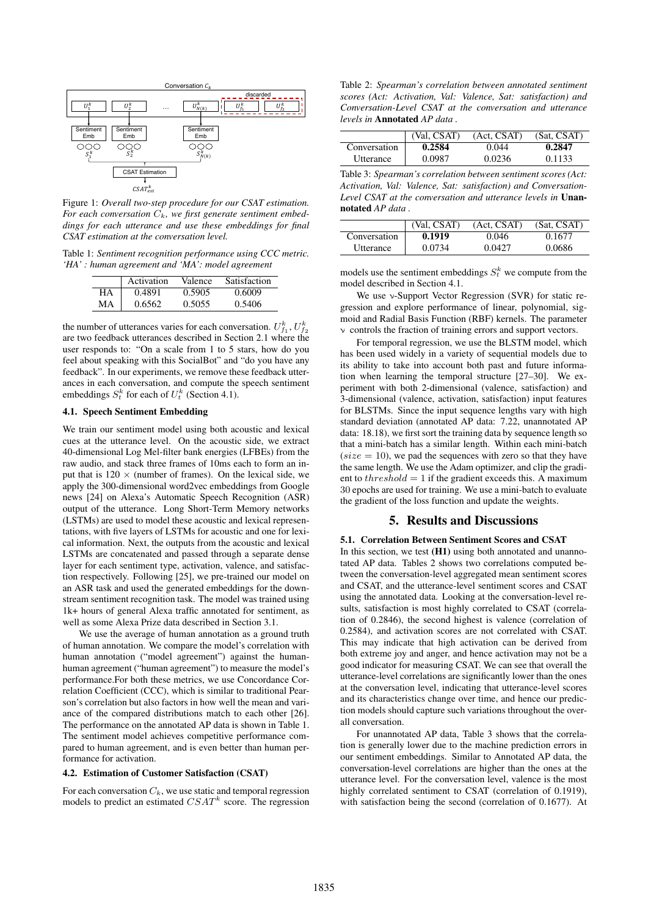

Figure 1: *Overall two-step procedure for our CSAT estimation.* For each conversation  $C_k$ , we first generate sentiment embed*dings for each utterance and use these embeddings for final CSAT estimation at the conversation level.*

Table 1: *Sentiment recognition performance using CCC metric. 'HA' : human agreement and 'MA': model agreement*

|    | Activation | Valence | Satisfaction |
|----|------------|---------|--------------|
| HА | 0.4891     | 0.5905  | 0.6009       |
| MА | 0.6562     | 0.5055  | 0.5406       |

the number of utterances varies for each conversation.  $U_{f_1}^k, U_{f_2}^k$ are two feedback utterances described in Section 2.1 where the user responds to: "On a scale from 1 to 5 stars, how do you feel about speaking with this SocialBot" and "do you have any feedback". In our experiments, we remove these feedback utterances in each conversation, and compute the speech sentiment embeddings  $S_t^k$  for each of  $U_t^k$  (Section 4.1).

# 4.1. Speech Sentiment Embedding

We train our sentiment model using both acoustic and lexical cues at the utterance level. On the acoustic side, we extract 40-dimensional Log Mel-filter bank energies (LFBEs) from the raw audio, and stack three frames of 10ms each to form an input that is  $120 \times$  (number of frames). On the lexical side, we apply the 300-dimensional word2vec embeddings from Google news [24] on Alexa's Automatic Speech Recognition (ASR) output of the utterance. Long Short-Term Memory networks (LSTMs) are used to model these acoustic and lexical representations, with five layers of LSTMs for acoustic and one for lexical information. Next, the outputs from the acoustic and lexical LSTMs are concatenated and passed through a separate dense layer for each sentiment type, activation, valence, and satisfaction respectively. Following [25], we pre-trained our model on an ASR task and used the generated embeddings for the downstream sentiment recognition task. The model was trained using 1k+ hours of general Alexa traffic annotated for sentiment, as well as some Alexa Prize data described in Section 3.1.

We use the average of human annotation as a ground truth of human annotation. We compare the model's correlation with human annotation ("model agreement") against the humanhuman agreement ("human agreement") to measure the model's performance.For both these metrics, we use Concordance Correlation Coefficient (CCC), which is similar to traditional Pearson's correlation but also factors in how well the mean and variance of the compared distributions match to each other [26]. The performance on the annotated AP data is shown in Table 1. The sentiment model achieves competitive performance compared to human agreement, and is even better than human performance for activation.

#### 4.2. Estimation of Customer Satisfaction (CSAT)

For each conversation  $C_k$ , we use static and temporal regression models to predict an estimated  $CSAT^k$  score. The regression

Table 2: *Spearman's correlation between annotated sentiment scores (Act: Activation, Val: Valence, Sat: satisfaction) and Conversation-Level CSAT at the conversation and utterance levels in* Annotated *AP data .*

|                  | (Val, CSAT) | (Act, CSAT) | (Sat, CSAT) |
|------------------|-------------|-------------|-------------|
| Conversation     | 0.2584      | 0.044       | 0.2847      |
| <b>Utterance</b> | 0.0987      | 0.0236      | 0.1133      |

Table 3: *Spearman's correlation between sentiment scores (Act: Activation, Val: Valence, Sat: satisfaction) and Conversation-Level CSAT at the conversation and utterance levels in* Unannotated *AP data .*

|                                | (Val, CSAT) | (Act, CSAT) | (Sat, CSAT) |
|--------------------------------|-------------|-------------|-------------|
| Conversation                   | 0.1919      | 0.046       | 0.1677      |
| <i><u><b>Utterance</b></u></i> | 0.0734      | 0.0427      | 0.0686      |

models use the sentiment embeddings  $S_t^k$  we compute from the model described in Section 4.1.

We use ν-Support Vector Regression (SVR) for static regression and explore performance of linear, polynomial, sigmoid and Radial Basis Function (RBF) kernels. The parameter controls the fraction of training errors and support vectors.

For temporal regression, we use the BLSTM model, which has been used widely in a variety of sequential models due to its ability to take into account both past and future information when learning the temporal structure [27–30]. We experiment with both 2-dimensional (valence, satisfaction) and 3-dimensional (valence, activation, satisfaction) input features for BLSTMs. Since the input sequence lengths vary with high standard deviation (annotated AP data: 7.22, unannotated AP data: 18.18), we first sort the training data by sequence length so that a mini-batch has a similar length. Within each mini-batch  $(size = 10)$ , we pad the sequences with zero so that they have the same length. We use the Adam optimizer, and clip the gradient to  $threshold = 1$  if the gradient exceeds this. A maximum 30 epochs are used for training. We use a mini-batch to evaluate the gradient of the loss function and update the weights.

## 5. Results and Discussions

## 5.1. Correlation Between Sentiment Scores and CSAT

In this section, we test  $(H1)$  using both annotated and unannotated AP data. Tables 2 shows two correlations computed between the conversation-level aggregated mean sentiment scores and CSAT, and the utterance-level sentiment scores and CSAT using the annotated data. Looking at the conversation-level results, satisfaction is most highly correlated to CSAT (correlation of 0.2846), the second highest is valence (correlation of 0.2584), and activation scores are not correlated with CSAT. This may indicate that high activation can be derived from both extreme joy and anger, and hence activation may not be a good indicator for measuring CSAT. We can see that overall the utterance-level correlations are significantly lower than the ones at the conversation level, indicating that utterance-level scores and its characteristics change over time, and hence our prediction models should capture such variations throughout the overall conversation.

For unannotated AP data, Table 3 shows that the correlation is generally lower due to the machine prediction errors in our sentiment embeddings. Similar to Annotated AP data, the conversation-level correlations are higher than the ones at the utterance level. For the conversation level, valence is the most highly correlated sentiment to CSAT (correlation of 0.1919), with satisfaction being the second (correlation of 0.1677). At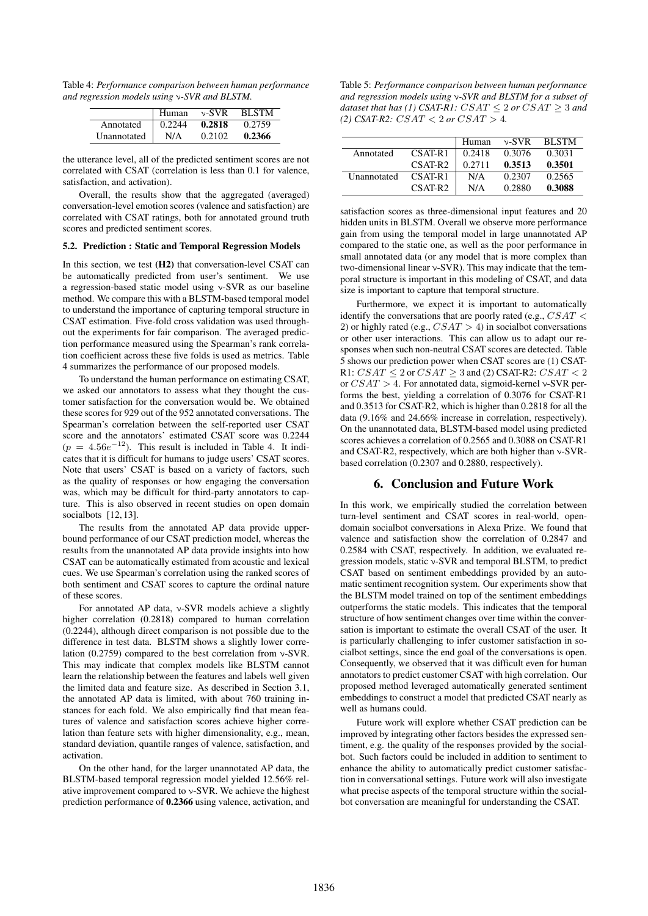Table 4: *Performance comparison between human performance and regression models using* ν*-SVR and BLSTM.*

|             | Human  | $\nu$ -SVR | <b>BLSTM</b> |
|-------------|--------|------------|--------------|
| Annotated   | 0.2244 | 0.2818     | 0.2759       |
| Unannotated | N/A    | 0.2102     | 0.2366       |

the utterance level, all of the predicted sentiment scores are not correlated with CSAT (correlation is less than 0.1 for valence, satisfaction, and activation).

Overall, the results show that the aggregated (averaged) conversation-level emotion scores (valence and satisfaction) are correlated with CSAT ratings, both for annotated ground truth scores and predicted sentiment scores.

#### 5.2. Prediction : Static and Temporal Regression Models

In this section, we test (H2) that conversation-level CSAT can be automatically predicted from user's sentiment. We use a regression-based static model using ν-SVR as our baseline method. We compare this with a BLSTM-based temporal model to understand the importance of capturing temporal structure in CSAT estimation. Five-fold cross validation was used throughout the experiments for fair comparison. The averaged prediction performance measured using the Spearman's rank correlation coefficient across these five folds is used as metrics. Table 4 summarizes the performance of our proposed models.

To understand the human performance on estimating CSAT, we asked our annotators to assess what they thought the customer satisfaction for the conversation would be. We obtained these scores for 929 out of the 952 annotated conversations. The Spearman's correlation between the self-reported user CSAT score and the annotators' estimated CSAT score was 0.2244  $(p = 4.56e^{-12})$ . This result is included in Table 4. It indicates that it is difficult for humans to judge users' CSAT scores. Note that users' CSAT is based on a variety of factors, such as the quality of responses or how engaging the conversation was, which may be difficult for third-party annotators to capture. This is also observed in recent studies on open domain socialbots [12, 13].

The results from the annotated AP data provide upperbound performance of our CSAT prediction model, whereas the results from the unannotated AP data provide insights into how CSAT can be automatically estimated from acoustic and lexical cues. We use Spearman's correlation using the ranked scores of both sentiment and CSAT scores to capture the ordinal nature of these scores.

For annotated AP data, ν-SVR models achieve a slightly higher correlation (0.2818) compared to human correlation (0.2244), although direct comparison is not possible due to the difference in test data. BLSTM shows a slightly lower correlation (0.2759) compared to the best correlation from ν-SVR. This may indicate that complex models like BLSTM cannot learn the relationship between the features and labels well given the limited data and feature size. As described in Section 3.1, the annotated AP data is limited, with about 760 training instances for each fold. We also empirically find that mean features of valence and satisfaction scores achieve higher correlation than feature sets with higher dimensionality, e.g., mean, standard deviation, quantile ranges of valence, satisfaction, and activation.

On the other hand, for the larger unannotated AP data, the BLSTM-based temporal regression model yielded 12.56% relative improvement compared to ν-SVR. We achieve the highest prediction performance of 0.2366 using valence, activation, and

Table 5: *Performance comparison between human performance and regression models using* ν*-SVR and BLSTM for a subset of dataset that has (1)* CSAT-R1:  $CSAT \leq 2$  or  $CSAT \geq 3$  and  $(2)$  CSAT-R2:  $CSAT < 2$  or  $CSAT > 4$ .

|                    |                     | Human  | $\nu$ -SVR | <b>BLSTM</b> |
|--------------------|---------------------|--------|------------|--------------|
| Annotated          | $CSAT-R1$           | 0.2418 | 0.3076     | 0.3031       |
|                    | CSAT-R <sub>2</sub> | 0.2711 | 0.3513     | 0.3501       |
| <b>Unannotated</b> | $CSAT-R1$           | N/A    | 0.2307     | 0.2565       |
|                    | $CSAT-R2$           | N/A    | 0.2880     | 0.3088       |

satisfaction scores as three-dimensional input features and 20 hidden units in BLSTM. Overall we observe more performance gain from using the temporal model in large unannotated AP compared to the static one, as well as the poor performance in small annotated data (or any model that is more complex than two-dimensional linear ν-SVR). This may indicate that the temporal structure is important in this modeling of CSAT, and data size is important to capture that temporal structure.

Furthermore, we expect it is important to automatically identify the conversations that are poorly rated (e.g.,  $CSAT <$ 2) or highly rated (e.g.,  $CSAT > 4$ ) in socialbot conversations or other user interactions. This can allow us to adapt our responses when such non-neutral CSAT scores are detected. Table 5 shows our prediction power when CSAT scores are (1) CSAT-R1:  $CSAT \leq 2$  or  $CSAT \geq 3$  and (2) CSAT-R2:  $CSAT < 2$ or  $CSAT > 4$ . For annotated data, sigmoid-kernel  $\nu$ -SVR performs the best, yielding a correlation of 0.3076 for CSAT-R1 and 0.3513 for CSAT-R2, which is higher than 0.2818 for all the data (9.16% and 24.66% increase in correlation, respectively). On the unannotated data, BLSTM-based model using predicted scores achieves a correlation of 0.2565 and 0.3088 on CSAT-R1 and CSAT-R2, respectively, which are both higher than ν-SVRbased correlation (0.2307 and 0.2880, respectively).

# 6. Conclusion and Future Work

In this work, we empirically studied the correlation between turn-level sentiment and CSAT scores in real-world, opendomain socialbot conversations in Alexa Prize. We found that valence and satisfaction show the correlation of 0.2847 and 0.2584 with CSAT, respectively. In addition, we evaluated regression models, static ν-SVR and temporal BLSTM, to predict CSAT based on sentiment embeddings provided by an automatic sentiment recognition system. Our experiments show that the BLSTM model trained on top of the sentiment embeddings outperforms the static models. This indicates that the temporal structure of how sentiment changes over time within the conversation is important to estimate the overall CSAT of the user. It is particularly challenging to infer customer satisfaction in socialbot settings, since the end goal of the conversations is open. Consequently, we observed that it was difficult even for human annotators to predict customer CSAT with high correlation. Our proposed method leveraged automatically generated sentiment embeddings to construct a model that predicted CSAT nearly as well as humans could.

Future work will explore whether CSAT prediction can be improved by integrating other factors besides the expressed sentiment, e.g. the quality of the responses provided by the socialbot. Such factors could be included in addition to sentiment to enhance the ability to automatically predict customer satisfaction in conversational settings. Future work will also investigate what precise aspects of the temporal structure within the socialbot conversation are meaningful for understanding the CSAT.